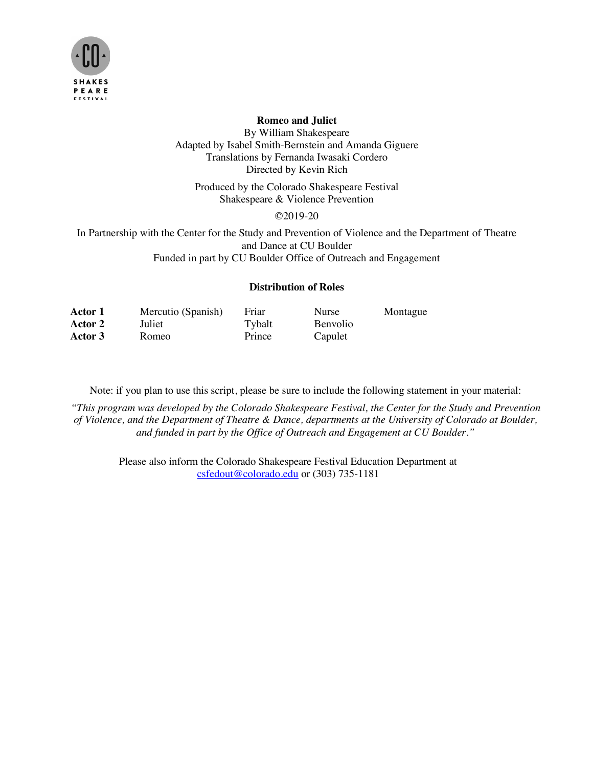

## **Romeo and Juliet**

By William Shakespeare Adapted by Isabel Smith-Bernstein and Amanda Giguere Translations by Fernanda Iwasaki Cordero Directed by Kevin Rich

Produced by the Colorado Shakespeare Festival Shakespeare & Violence Prevention

©2019-20

In Partnership with the Center for the Study and Prevention of Violence and the Department of Theatre and Dance at CU Boulder Funded in part by CU Boulder Office of Outreach and Engagement

## **Distribution of Roles**

| Actor 1 | Mercutio (Spanish) | Friar  | Nurse           | Montague |
|---------|--------------------|--------|-----------------|----------|
| Actor 2 | Juliet             | Tybalt | <b>Benvolio</b> |          |
| Actor 3 | Romeo              | Prince | Capulet         |          |

Note: if you plan to use this script, please be sure to include the following statement in your material:

*"This program was developed by the Colorado Shakespeare Festival, the Center for the Study and Prevention of Violence, and the Department of Theatre & Dance, departments at the University of Colorado at Boulder, and funded in part by the Office of Outreach and Engagement at CU Boulder."*

Please also inform the Colorado Shakespeare Festival Education Department at csfedout@colorado.edu or (303) 735-1181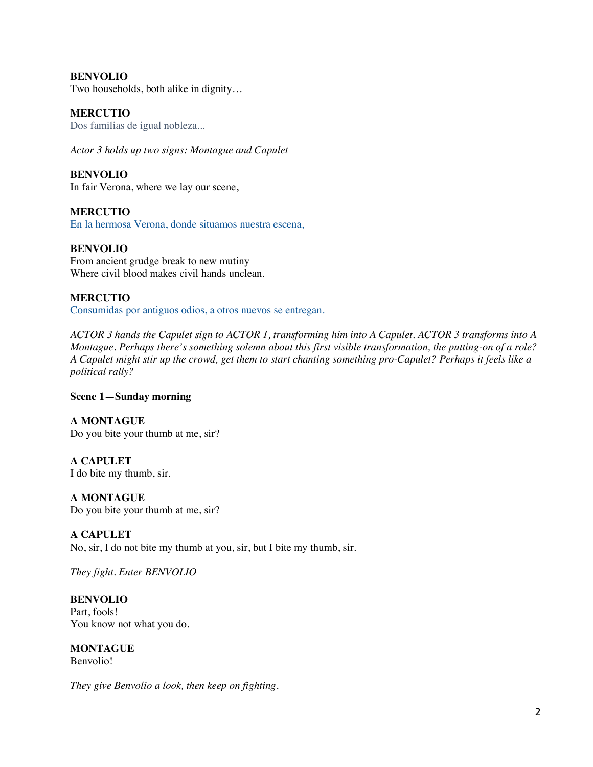## **BENVOLIO**

Two households, both alike in dignity…

#### **MERCUTIO**

Dos familias de igual nobleza...

*Actor 3 holds up two signs: Montague and Capulet*

**BENVOLIO** In fair Verona, where we lay our scene,

**MERCUTIO** En la hermosa Verona, donde situamos nuestra escena,

## **BENVOLIO**

From ancient grudge break to new mutiny Where civil blood makes civil hands unclean.

## **MERCUTIO**

Consumidas por antiguos odios, a otros nuevos se entregan.

*ACTOR 3 hands the Capulet sign to ACTOR 1, transforming him into A Capulet. ACTOR 3 transforms into A Montague. Perhaps there's something solemn about this first visible transformation, the putting-on of a role? A Capulet might stir up the crowd, get them to start chanting something pro-Capulet? Perhaps it feels like a political rally?*

## **Scene 1—Sunday morning**

**A MONTAGUE**  Do you bite your thumb at me, sir?

**A CAPULET**  I do bite my thumb, sir.

**A MONTAGUE**  Do you bite your thumb at me, sir?

**A CAPULET**  No, sir, I do not bite my thumb at you, sir, but I bite my thumb, sir.

*They fight*. *Enter BENVOLIO*

**BENVOLIO** Part, fools! You know not what you do.

**MONTAGUE** Benvolio!

*They give Benvolio a look, then keep on fighting.*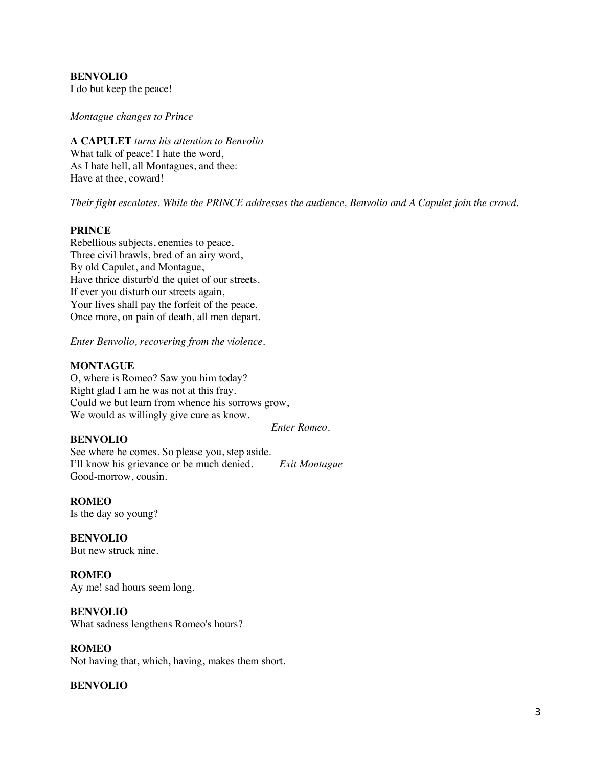# **BENVOLIO**

I do but keep the peace!

#### *Montague changes to Prince*

**A CAPULET** *turns his attention to Benvolio* What talk of peace! I hate the word, As I hate hell, all Montagues, and thee: Have at thee, coward!

*Their fight escalates. While the PRINCE addresses the audience, Benvolio and A Capulet join the crowd.* 

#### **PRINCE**

Rebellious subjects, enemies to peace, Three civil brawls, bred of an airy word, By old Capulet, and Montague, Have thrice disturb'd the quiet of our streets. If ever you disturb our streets again, Your lives shall pay the forfeit of the peace. Once more, on pain of death, all men depart.

*Enter Benvolio, recovering from the violence.* 

## **MONTAGUE**

O, where is Romeo? Saw you him today? Right glad I am he was not at this fray. Could we but learn from whence his sorrows grow, We would as willingly give cure as know.

*Enter Romeo.*

## **BENVOLIO**

See where he comes. So please you, step aside. I'll know his grievance or be much denied. *Exit Montague* Good-morrow, cousin.

## **ROMEO**

Is the day so young?

**BENVOLIO** But new struck nine.

**ROMEO** Ay me! sad hours seem long.

#### **BENVOLIO**

What sadness lengthens Romeo's hours?

## **ROMEO**

Not having that, which, having, makes them short.

## **BENVOLIO**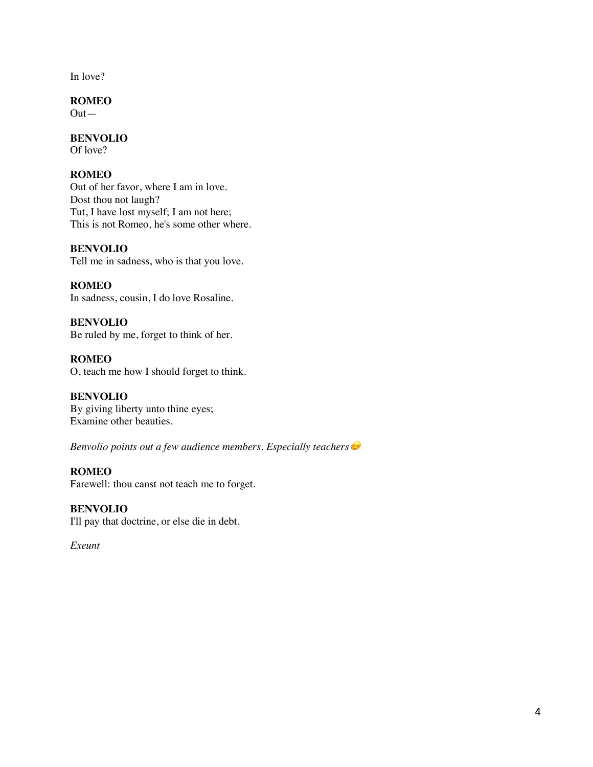In love?

**ROMEO**

 $Out-$ 

## **BENVOLIO**

Of love?

## **ROMEO**

Out of her favor, where I am in love. Dost thou not laugh? Tut, I have lost myself; I am not here; This is not Romeo, he's some other where.

## **BENVOLIO**

Tell me in sadness, who is that you love.

**ROMEO** In sadness, cousin, I do love Rosaline.

**BENVOLIO** Be ruled by me, forget to think of her.

**ROMEO** O, teach me how I should forget to think.

**BENVOLIO** By giving liberty unto thine eyes; Examine other beauties.

*Benvolio points out a few audience members. Especially teachers* 

## **ROMEO**

Farewell: thou canst not teach me to forget.

**BENVOLIO** I'll pay that doctrine, or else die in debt.

*Exeunt*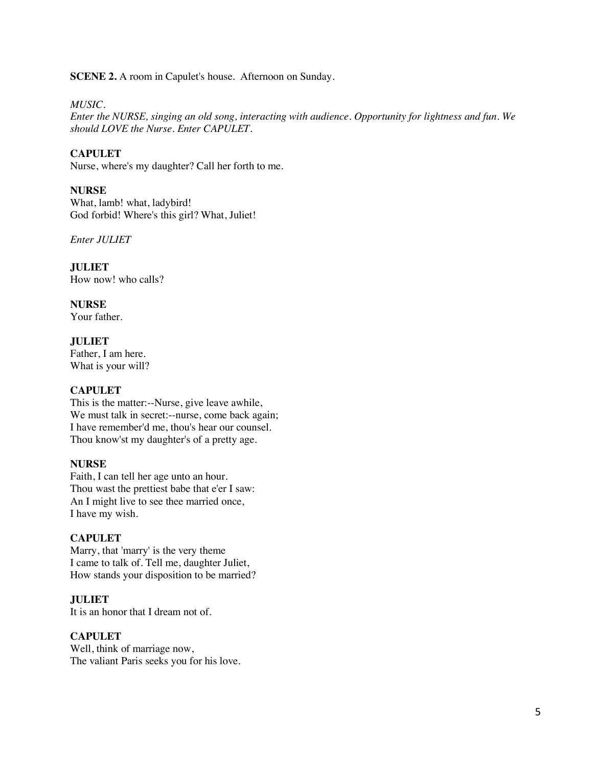**SCENE 2.** A room in Capulet's house. Afternoon on Sunday.

#### *MUSIC.*

*Enter the NURSE, singing an old song, interacting with audience. Opportunity for lightness and fun. We should LOVE the Nurse. Enter CAPULET.*

#### **CAPULET**

Nurse, where's my daughter? Call her forth to me.

#### **NURSE**

What, lamb! what, ladybird! God forbid! Where's this girl? What, Juliet!

*Enter JULIET*

**JULIET** How now! who calls?

**NURSE**

Your father.

**JULIET** Father, I am here. What is your will?

#### **CAPULET**

This is the matter:--Nurse, give leave awhile, We must talk in secret:--nurse, come back again; I have remember'd me, thou's hear our counsel. Thou know'st my daughter's of a pretty age.

#### **NURSE**

Faith, I can tell her age unto an hour. Thou wast the prettiest babe that e'er I saw: An I might live to see thee married once, I have my wish.

#### **CAPULET**

Marry, that 'marry' is the very theme I came to talk of. Tell me, daughter Juliet, How stands your disposition to be married?

## **JULIET**

It is an honor that I dream not of.

#### **CAPULET**

Well, think of marriage now, The valiant Paris seeks you for his love.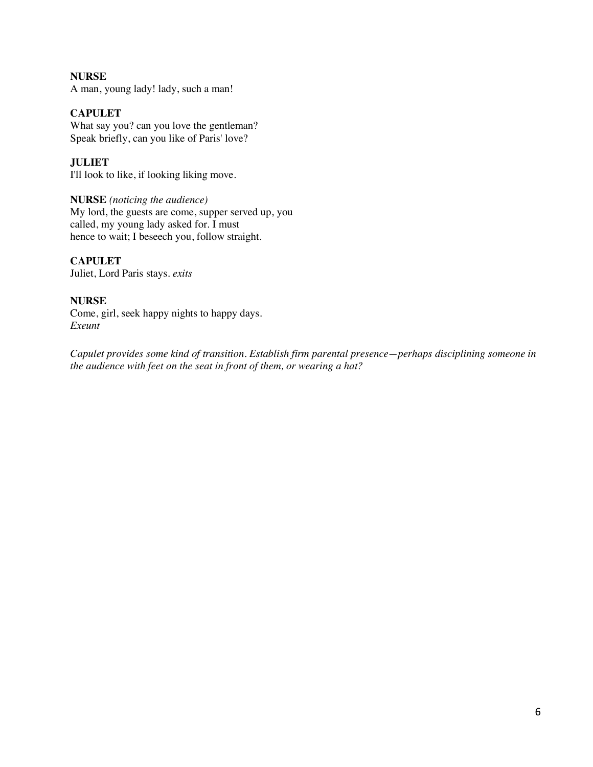#### **NURSE** A man, young lady! lady, such a man!

## **CAPULET**

What say you? can you love the gentleman? Speak briefly, can you like of Paris' love?

**JULIET** I'll look to like, if looking liking move.

## **NURSE** *(noticing the audience)*

My lord, the guests are come, supper served up, you called, my young lady asked for. I must hence to wait; I beseech you, follow straight.

## **CAPULET**

Juliet, Lord Paris stays. *exits*

## **NURSE**

Come, girl, seek happy nights to happy days. *Exeunt*

*Capulet provides some kind of transition. Establish firm parental presence—perhaps disciplining someone in the audience with feet on the seat in front of them, or wearing a hat?*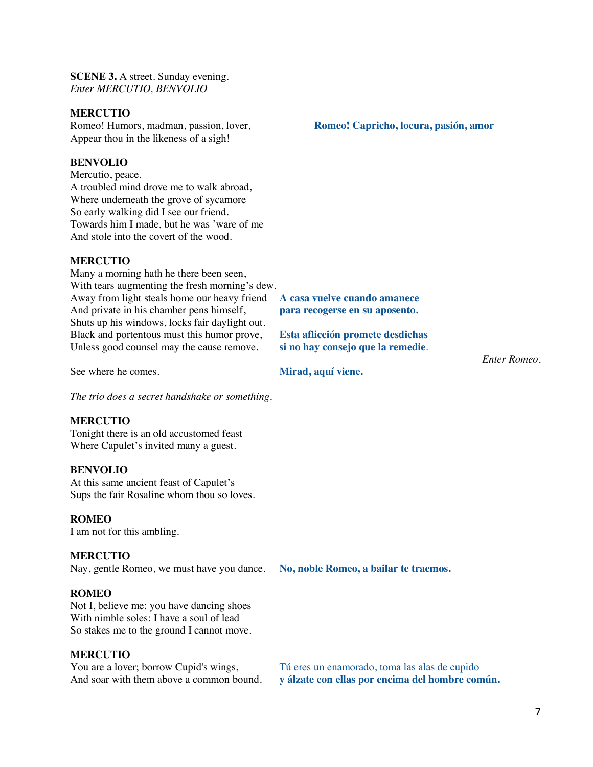**SCENE 3.** A street. Sunday evening. *Enter MERCUTIO, BENVOLIO*

#### **MERCUTIO**

Romeo! Humors, madman, passion, lover, **Romeo! Capricho, locura, pasión, amor** Appear thou in the likeness of a sigh!

#### **BENVOLIO**

Mercutio, peace. A troubled mind drove me to walk abroad, Where underneath the grove of sycamore So early walking did I see our friend. Towards him I made, but he was 'ware of me And stole into the covert of the wood.

#### **MERCUTIO**

Many a morning hath he there been seen, With tears augmenting the fresh morning's dew. Away from light steals home our heavy friend **A casa vuelve cuando amanece**  And private in his chamber pens himself, **para recogerse en su aposento.** Shuts up his windows, locks fair daylight out. Black and portentous must this humor prove, **Esta aflicción promete desdichas** Unless good counsel may the cause remove. **si no hay consejo que la remedie**.

See where he comes. **Mirad, aquí viene.**

*The trio does a secret handshake or something.* 

## **MERCUTIO**

Tonight there is an old accustomed feast Where Capulet's invited many a guest.

#### **BENVOLIO**

At this same ancient feast of Capulet's Sups the fair Rosaline whom thou so loves.

#### **ROMEO**

I am not for this ambling.

#### **MERCUTIO**

Nay, gentle Romeo, we must have you dance. **No, noble Romeo, a bailar te traemos.**

#### **ROMEO**

Not I, believe me: you have dancing shoes With nimble soles: I have a soul of lead So stakes me to the ground I cannot move.

**MERCUTIO**<br>You are a lover; borrow Cupid's wings,

*Enter Romeo.*

You are a lover; borrow Cupid's wings,<br>
Tú eres un enamorado, toma las alas de cupido<br>
And soar with them above a common bound.<br>
v álzate con ellas por encima del hombre con v álzate con ellas por encima del hombre común.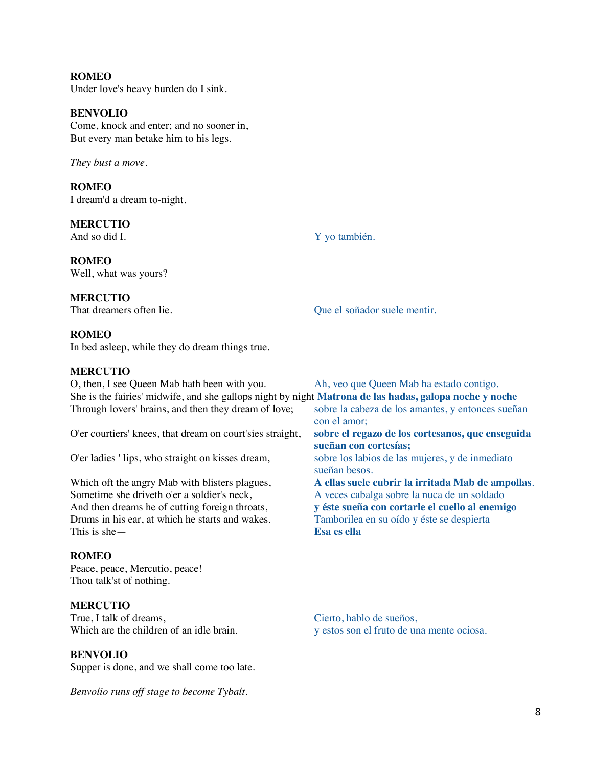# **ROMEO**

Under love's heavy burden do I sink.

### **BENVOLIO**

Come, knock and enter; and no sooner in, But every man betake him to his legs.

*They bust a move.* 

**ROMEO** I dream'd a dream to-night.

**MERCUTIO**<br>And so did I.

Y yo también.

**ROMEO** Well, what was yours?

**MERCUTIO**<br>That dreamers often lie.

Que el soñador suele mentir.

## **ROMEO**

In bed asleep, while they do dream things true.

#### **MERCUTIO**

| Ah, veo que Queen Mab ha estado contigo.                                                                      |
|---------------------------------------------------------------------------------------------------------------|
| She is the fairies' midwife, and she gallops night by night <b>Matrona de las hadas, galopa noche y noche</b> |
| sobre la cabeza de los amantes, y entonces sueñan<br>con el amor;                                             |
| sobre el regazo de los cortesanos, que enseguida<br>sueñan con cortesías;                                     |
| sobre los labios de las mujeres, y de inmediato<br>sueñan besos.                                              |
| A ellas suele cubrir la irritada Mab de ampollas.                                                             |
| A veces cabalga sobre la nuca de un soldado                                                                   |
| y éste sueña con cortarle el cuello al enemigo                                                                |
| Tamborilea en su oído y éste se despierta                                                                     |
| Esa es ella                                                                                                   |
|                                                                                                               |

#### **ROMEO**

Peace, peace, Mercutio, peace! Thou talk'st of nothing.

**MERCUTIO**<br>True, I talk of dreams, True, I talk of dreams,<br>Which are the children of an idle brain.<br>We stose son el fruto de un

## **BENVOLIO**

Supper is done, and we shall come too late.

*Benvolio runs off stage to become Tybalt.* 

y estos son el fruto de una mente ociosa.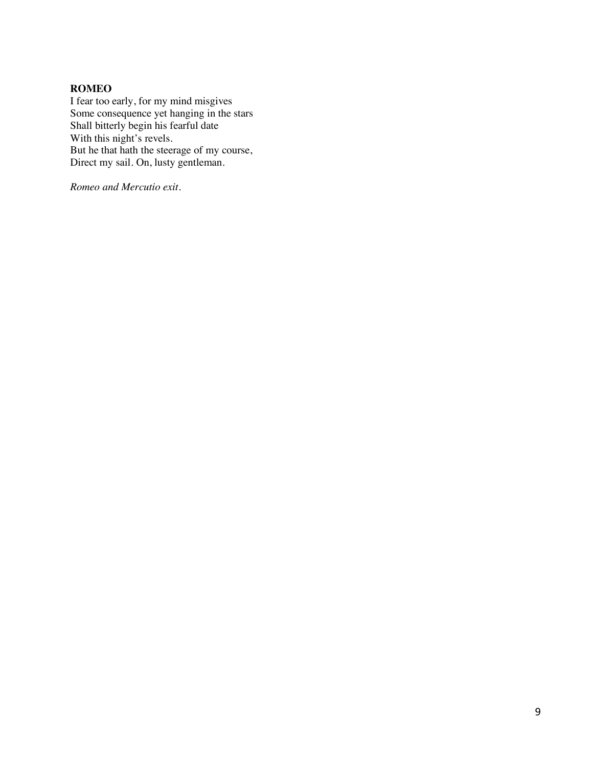## **ROMEO**

I fear too early, for my mind misgives Some consequence yet hanging in the stars Shall bitterly begin his fearful date With this night's revels. But he that hath the steerage of my course, Direct my sail. On, lusty gentleman.

*Romeo and Mercutio exit.*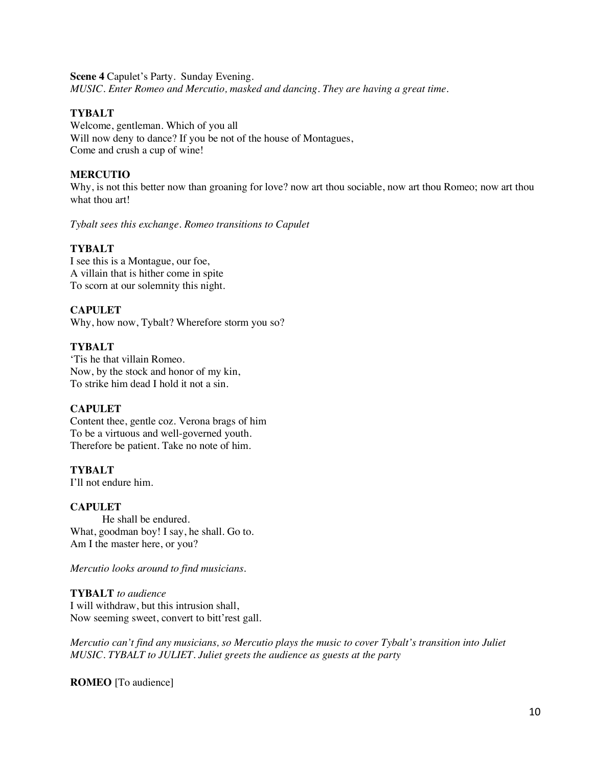**Scene 4** Capulet's Party. Sunday Evening. *MUSIC. Enter Romeo and Mercutio, masked and dancing. They are having a great time.*

#### **TYBALT**

Welcome, gentleman. Which of you all Will now deny to dance? If you be not of the house of Montagues, Come and crush a cup of wine!

## **MERCUTIO**

Why, is not this better now than groaning for love? now art thou sociable, now art thou Romeo; now art thou what thou art!

*Tybalt sees this exchange. Romeo transitions to Capulet* 

#### **TYBALT**

I see this is a Montague, our foe, A villain that is hither come in spite To scorn at our solemnity this night.

## **CAPULET**

Why, how now, Tybalt? Wherefore storm you so?

#### **TYBALT**

'Tis he that villain Romeo. Now, by the stock and honor of my kin, To strike him dead I hold it not a sin.

#### **CAPULET**

Content thee, gentle coz. Verona brags of him To be a virtuous and well-governed youth. Therefore be patient. Take no note of him.

#### **TYBALT**

I'll not endure him.

#### **CAPULET**

 He shall be endured. What, goodman boy! I say, he shall. Go to. Am I the master here, or you?

#### *Mercutio looks around to find musicians.*

**TYBALT** *to audience* I will withdraw, but this intrusion shall, Now seeming sweet, convert to bitt'rest gall.

*Mercutio can't find any musicians, so Mercutio plays the music to cover Tybalt's transition into Juliet MUSIC. TYBALT to JULIET. Juliet greets the audience as guests at the party*

**ROMEO** [To audience]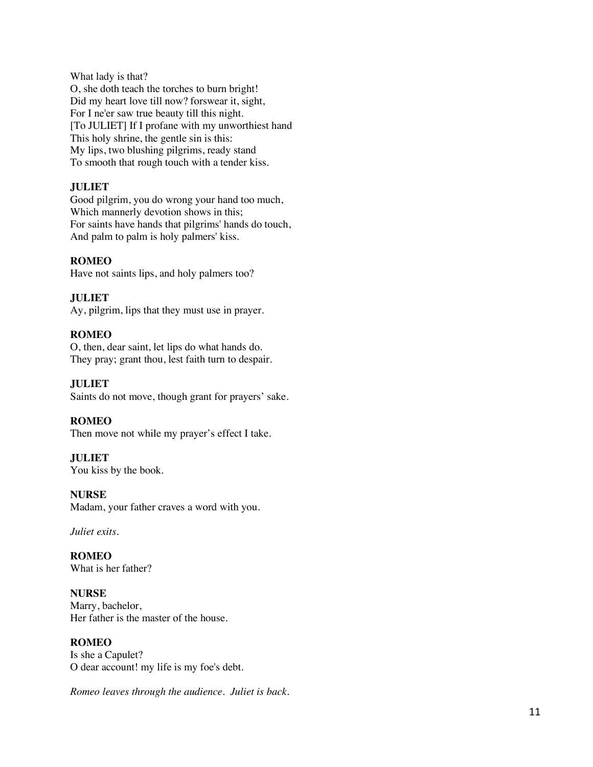What lady is that?

O, she doth teach the torches to burn bright! Did my heart love till now? forswear it, sight, For I ne'er saw true beauty till this night. [To JULIET] If I profane with my unworthiest hand This holy shrine, the gentle sin is this: My lips, two blushing pilgrims, ready stand To smooth that rough touch with a tender kiss.

## **JULIET**

Good pilgrim, you do wrong your hand too much, Which mannerly devotion shows in this; For saints have hands that pilgrims' hands do touch, And palm to palm is holy palmers' kiss.

## **ROMEO**

Have not saints lips, and holy palmers too?

## **JULIET**

Ay, pilgrim, lips that they must use in prayer.

## **ROMEO**

O, then, dear saint, let lips do what hands do. They pray; grant thou, lest faith turn to despair.

## **JULIET**

Saints do not move, though grant for prayers' sake.

## **ROMEO**

Then move not while my prayer's effect I take.

## **JULIET**

You kiss by the book.

## **NURSE**

Madam, your father craves a word with you.

*Juliet exits.* 

**ROMEO** What is her father?

**NURSE** Marry, bachelor, Her father is the master of the house.

## **ROMEO**

Is she a Capulet? O dear account! my life is my foe's debt.

*Romeo leaves through the audience. Juliet is back.*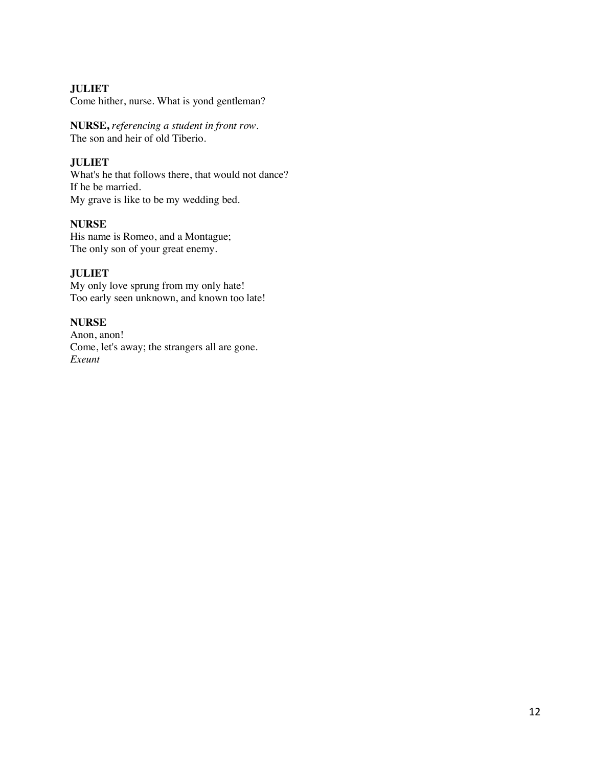## **JULIET**

Come hither, nurse. What is yond gentleman?

**NURSE,** *referencing a student in front row.*  The son and heir of old Tiberio.

## **JULIET**

What's he that follows there, that would not dance? If he be married. My grave is like to be my wedding bed.

## **NURSE**

His name is Romeo, and a Montague; The only son of your great enemy.

## **JULIET**

My only love sprung from my only hate! Too early seen unknown, and known too late!

## **NURSE**

Anon, anon! Come, let's away; the strangers all are gone. *Exeunt*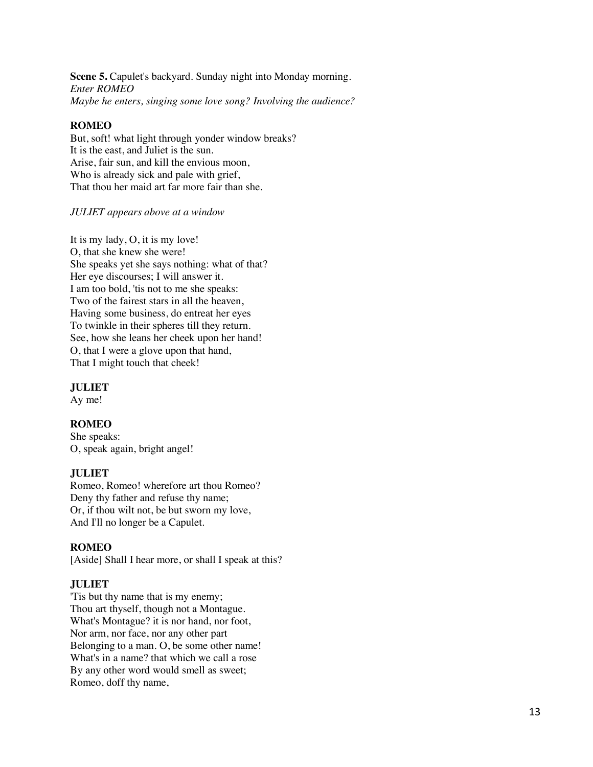**Scene 5.** Capulet's backyard. Sunday night into Monday morning. *Enter ROMEO Maybe he enters, singing some love song? Involving the audience?*

## **ROMEO**

But, soft! what light through yonder window breaks? It is the east, and Juliet is the sun. Arise, fair sun, and kill the envious moon, Who is already sick and pale with grief, That thou her maid art far more fair than she.

#### *JULIET appears above at a window*

It is my lady, O, it is my love! O, that she knew she were! She speaks yet she says nothing: what of that? Her eye discourses; I will answer it. I am too bold, 'tis not to me she speaks: Two of the fairest stars in all the heaven, Having some business, do entreat her eyes To twinkle in their spheres till they return. See, how she leans her cheek upon her hand! O, that I were a glove upon that hand, That I might touch that cheek!

## **JULIET**

Ay me!

## **ROMEO**

She speaks: O, speak again, bright angel!

#### **JULIET**

Romeo, Romeo! wherefore art thou Romeo? Deny thy father and refuse thy name; Or, if thou wilt not, be but sworn my love, And I'll no longer be a Capulet.

## **ROMEO**

[Aside] Shall I hear more, or shall I speak at this?

## **JULIET**

'Tis but thy name that is my enemy; Thou art thyself, though not a Montague. What's Montague? it is nor hand, nor foot, Nor arm, nor face, nor any other part Belonging to a man. O, be some other name! What's in a name? that which we call a rose By any other word would smell as sweet; Romeo, doff thy name,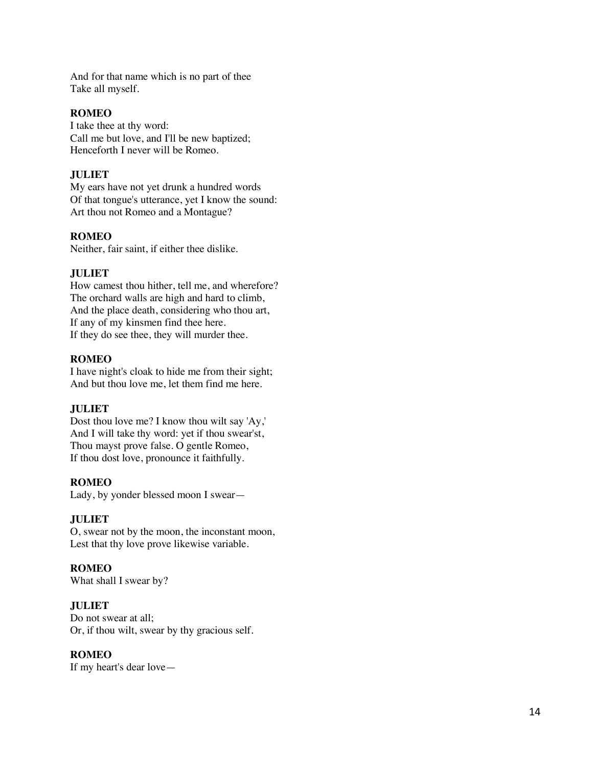And for that name which is no part of thee Take all myself.

### **ROMEO**

I take thee at thy word: Call me but love, and I'll be new baptized; Henceforth I never will be Romeo.

## **JULIET**

My ears have not yet drunk a hundred words Of that tongue's utterance, yet I know the sound: Art thou not Romeo and a Montague?

## **ROMEO**

Neither, fair saint, if either thee dislike.

## **JULIET**

How camest thou hither, tell me, and wherefore? The orchard walls are high and hard to climb, And the place death, considering who thou art, If any of my kinsmen find thee here. If they do see thee, they will murder thee.

## **ROMEO**

I have night's cloak to hide me from their sight; And but thou love me, let them find me here.

## **JULIET**

Dost thou love me? I know thou wilt say 'Ay,' And I will take thy word: yet if thou swear'st, Thou mayst prove false. O gentle Romeo, If thou dost love, pronounce it faithfully.

## **ROMEO**

Lady, by yonder blessed moon I swear —

## **JULIET**

O, swear not by the moon, the inconstant moon, Lest that thy love prove likewise variable.

## **ROMEO**

What shall I swear by?

## **JULIET**

Do not swear at all; Or, if thou wilt, swear by thy gracious self.

## **ROMEO**

If my heart's dear love —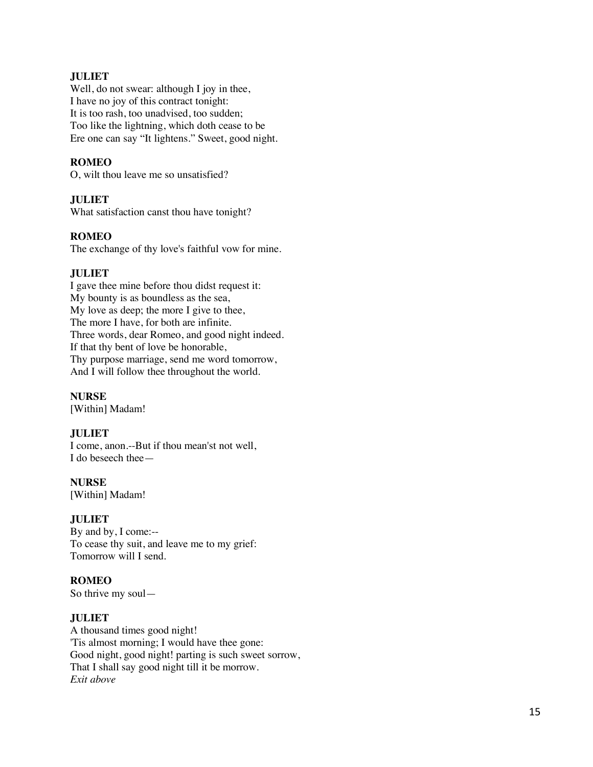## **JULIET**

Well, do not swear: although I joy in thee, I have no joy of this contract tonight: It is too rash, too unadvised, too sudden; Too like the lightning, which doth cease to be Ere one can say "It lightens." Sweet, good night.

## **ROMEO**

O, wilt thou leave me so unsatisfied?

## **JULIET**

What satisfaction canst thou have tonight?

## **ROMEO**

The exchange of thy love's faithful vow for mine.

## **JULIET**

I gave thee mine before thou didst request it: My bounty is as boundless as the sea, My love as deep; the more I give to thee, The more I have, for both are infinite. Three words, dear Romeo, and good night indeed. If that thy bent of love be honorable, Thy purpose marriage, send me word tomorrow, And I will follow thee throughout the world.

**NURSE** [Within] Madam!

## **JULIET**

I come, anon.--But if thou mean'st not well, I do beseech thee —

**NURSE** [Within] Madam!

## **JULIET**

By and by, I come:-- To cease thy suit, and leave me to my grief: Tomorrow will I send.

## **ROMEO**

So thrive my soul —

## **JULIET**

A thousand times good night! 'Tis almost morning; I would have thee gone: Good night, good night! parting is such sweet sorrow, That I shall say good night till it be morrow. *Exit above*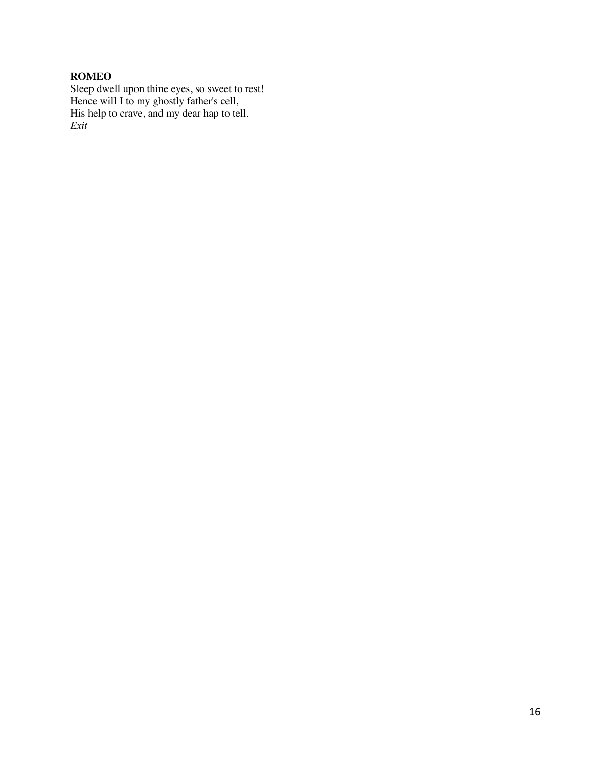## **ROMEO**

Sleep dwell upon thine eyes, so sweet to rest! Hence will I to my ghostly father's cell, His help to crave, and my dear hap to tell. *Exit*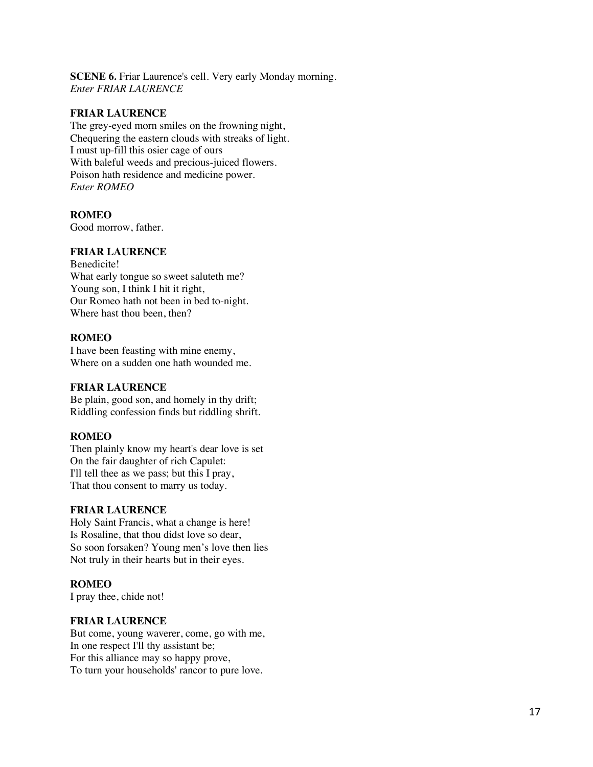**SCENE 6***.* Friar Laurence's cell. Very early Monday morning. *Enter FRIAR LAURENCE*

#### **FRIAR LAURENCE**

The grey-eyed morn smiles on the frowning night, Chequering the eastern clouds with streaks of light. I must up-fill this osier cage of ours With baleful weeds and precious-juiced flowers. Poison hath residence and medicine power. *Enter ROMEO*

#### **ROMEO**

Good morrow, father.

## **FRIAR LAURENCE**

Benedicite! What early tongue so sweet saluteth me? Young son, I think I hit it right, Our Romeo hath not been in bed to-night. Where hast thou been, then?

#### **ROMEO**

I have been feasting with mine enemy, Where on a sudden one hath wounded me.

#### **FRIAR LAURENCE**

Be plain, good son, and homely in thy drift; Riddling confession finds but riddling shrift.

## **ROMEO**

Then plainly know my heart's dear love is set On the fair daughter of rich Capulet: I'll tell thee as we pass; but this I pray, That thou consent to marry us today.

#### **FRIAR LAURENCE**

Holy Saint Francis, what a change is here! Is Rosaline, that thou didst love so dear, So soon forsaken? Young men's love then lies Not truly in their hearts but in their eyes.

## **ROMEO**

I pray thee, chide not!

#### **FRIAR LAURENCE**

But come, young waverer, come, go with me, In one respect I'll thy assistant be; For this alliance may so happy prove, To turn your households' rancor to pure love.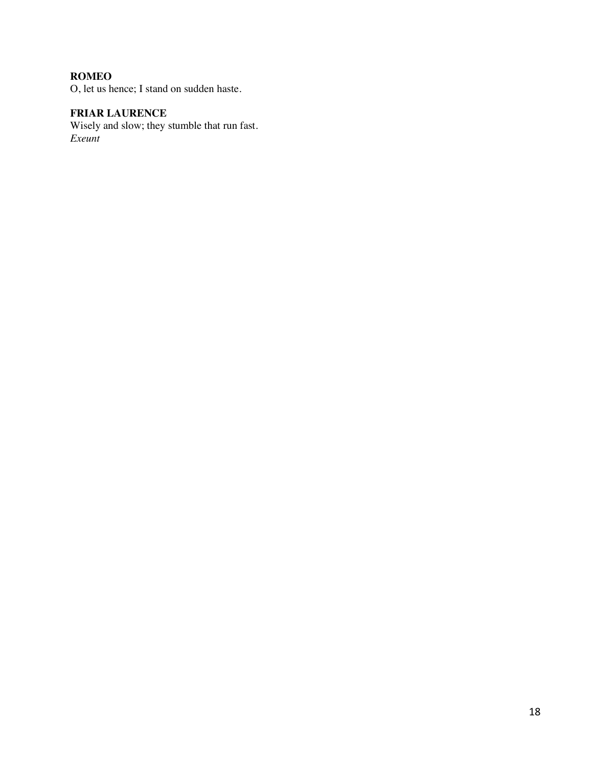## **ROMEO**

O, let us hence; I stand on sudden haste.

# **FRIAR LAURENCE**

Wisely and slow; they stumble that run fast. *Exeunt*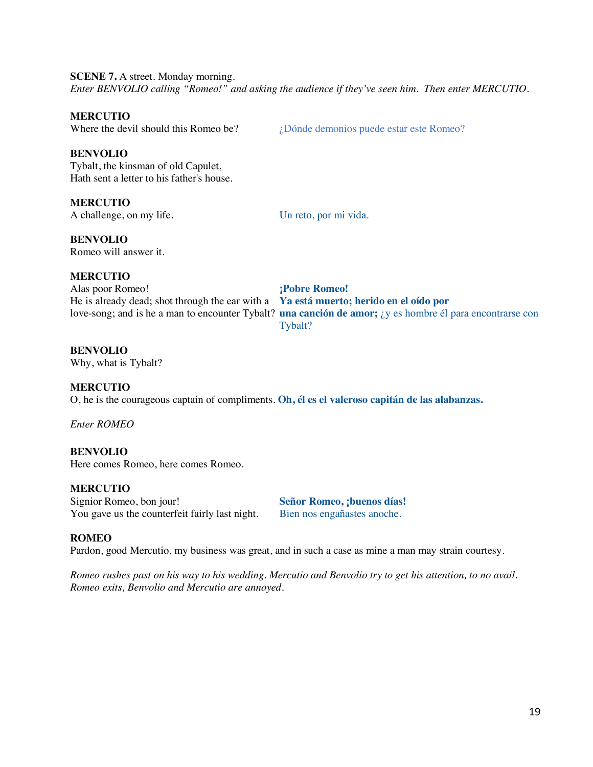**SCENE 7.** A street. Monday morning. *Enter BENVOLIO calling "Romeo!" and asking the audience if they've seen him. Then enter MERCUTIO.* 

#### **MERCUTIO**

Where the devil should this Romeo be?  $i$  Dónde demonios puede estar este Romeo?

#### **BENVOLIO**

Tybalt, the kinsman of old Capulet, Hath sent a letter to his father's house.

## **MERCUTIO**

A challenge, on my life. Un reto, por mi vida.

**BENVOLIO** Romeo will answer it.

## **MERCUTIO**

Alas poor Romeo! **¡Pobre Romeo!** He is already dead; shot through the ear with a **Ya está muerto; herido en el oído por** love-song; and is he a man to encounter Tybalt? **una canción de amor;** ¿y es hombre él para encontrarse con Tybalt?

#### **BENVOLIO**

Why, what is Tybalt?

#### **MERCUTIO**

O, he is the courageous captain of compliments. **Oh, él es el valeroso capitán de las alabanzas.**

*Enter ROMEO*

#### **BENVOLIO**

Here comes Romeo, here comes Romeo.

#### **MERCUTIO**

Signior Romeo, bon jour! **Señor Romeo, ¡buenos días!** You gave us the counterfeit fairly last night. Bien nos engañastes anoche.

#### **ROMEO**

Pardon, good Mercutio, my business was great, and in such a case as mine a man may strain courtesy.

*Romeo rushes past on his way to his wedding. Mercutio and Benvolio try to get his attention, to no avail. Romeo exits, Benvolio and Mercutio are annoyed.*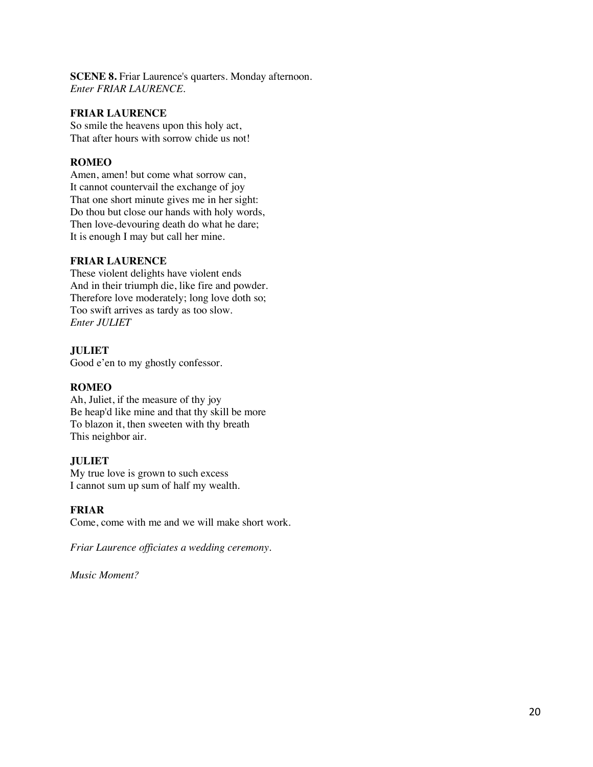**SCENE 8.** Friar Laurence's quarters. Monday afternoon. *Enter FRIAR LAURENCE.* 

#### **FRIAR LAURENCE**

So smile the heavens upon this holy act, That after hours with sorrow chide us not!

## **ROMEO**

Amen, amen! but come what sorrow can, It cannot countervail the exchange of joy That one short minute gives me in her sight: Do thou but close our hands with holy words, Then love-devouring death do what he dare; It is enough I may but call her mine.

## **FRIAR LAURENCE**

These violent delights have violent ends And in their triumph die, like fire and powder. Therefore love moderately; long love doth so; Too swift arrives as tardy as too slow. *Enter JULIET*

## **JULIET**

Good e'en to my ghostly confessor.

## **ROMEO**

Ah, Juliet, if the measure of thy joy Be heap'd like mine and that thy skill be more To blazon it, then sweeten with thy breath This neighbor air.

## **JULIET**

My true love is grown to such excess I cannot sum up sum of half my wealth.

## **FRIAR**

Come, come with me and we will make short work.

*Friar Laurence officiates a wedding ceremony.* 

*Music Moment?*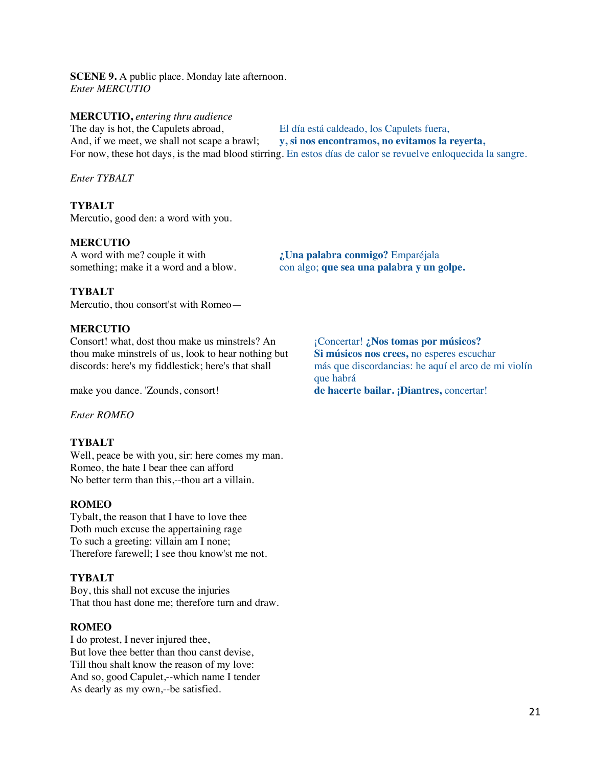**SCENE 9.** A public place. Monday late afternoon. *Enter MERCUTIO*

#### **MERCUTIO,** *entering thru audience*

The day is hot, the Capulets abroad,<br>
And, if we meet, we shall not scape a brawl;<br>  $\bf{v}, \bf{si}$  nos encontramos, no evitamos la i And, if we meet, we shall not scape a brawl; **y, si nos encontramos, no evitamos la reyerta,** For now, these hot days, is the mad blood stirring. En estos días de calor se revuelve enloquecida la sangre.

*Enter TYBALT*

## **TYBALT**

Mercutio, good den: a word with you.

#### **MERCUTIO**

A word with me? couple it with **¿Una palabra conmigo?** Emparéjala

something; make it a word and a blow. con algo; **que sea una palabra y un golpe.**

#### **TYBALT**

Mercutio, thou consort'st with Romeo—

#### **MERCUTIO**

Consort! what, dost thou make us minstrels? An <sup>¡Concertar!</sup> **¿Nos tomas por músicos?**<br>
thou make minstrels of us, look to hear nothing but Si músicos nos crees, no esperes escuchar thou make minstrels of us, look to hear nothing but

*Enter ROMEO*

## **TYBALT**

Well, peace be with you, sir: here comes my man. Romeo, the hate I bear thee can afford No better term than this,--thou art a villain.

#### **ROMEO**

Tybalt, the reason that I have to love thee Doth much excuse the appertaining rage To such a greeting: villain am I none; Therefore farewell; I see thou know'st me not.

#### **TYBALT**

Boy, this shall not excuse the injuries That thou hast done me; therefore turn and draw.

#### **ROMEO**

I do protest, I never injured thee, But love thee better than thou canst devise, Till thou shalt know the reason of my love: And so, good Capulet,--which name I tender As dearly as my own,--be satisfied.

discords: here's my fiddlestick; here's that shall más que discordancias: he aquí el arco de mi violín que habrá make you dance. 'Zounds, consort! **de hacerte bailar. ¡Diantres,** concertar!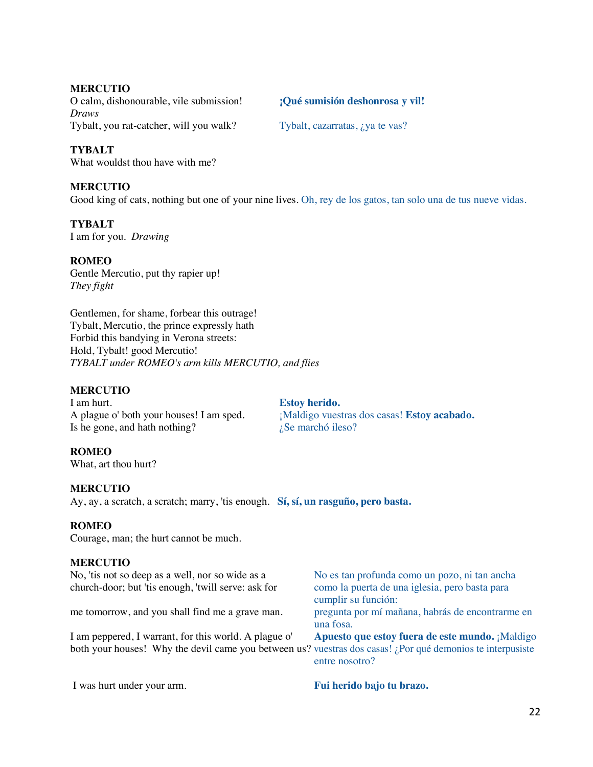## **MERCUTIO**

O calm, dishonourable, vile submission! **¡Qué sumisión deshonrosa y vil!** *Draws* Tybalt, you rat-catcher, will you walk? Tybalt, cazarratas, *i*, ya te vas?

## **TYBALT**

What wouldst thou have with me?

## **MERCUTIO**

Good king of cats, nothing but one of your nine lives. Oh, rey de los gatos, tan solo una de tus nueve vidas.

## **TYBALT**

I am for you. *Drawing*

## **ROMEO**

Gentle Mercutio, put thy rapier up! *They fight*

Gentlemen, for shame, forbear this outrage! Tybalt, Mercutio, the prince expressly hath Forbid this bandying in Verona streets: Hold, Tybalt! good Mercutio! *TYBALT under ROMEO's arm kills MERCUTIO, and flies*

## **MERCUTIO**

I am hurt. **Estoy herido.**<br>A plague o' both your houses! I am sped. *i*Maldigo vues Is he gone, and hath nothing?  $i$  is marchó ileso?

¡Maldigo vuestras dos casas! Estoy acabado.

## **ROMEO**

What, art thou hurt?

## **MERCUTIO**

Ay, ay, a scratch, a scratch; marry, 'tis enough. **Sí, sí, un rasguño, pero basta.**

## **ROMEO**

Courage, man; the hurt cannot be much.

## **MERCUTIO**

| No, 'tis not so deep as a well, nor so wide as a<br>church-door; but 'tis enough, 'twill serve: ask for                                                             | No es tan profunda como un pozo, ni tan ancha<br>como la puerta de una iglesia, pero basta para<br>cumplir su función: |
|---------------------------------------------------------------------------------------------------------------------------------------------------------------------|------------------------------------------------------------------------------------------------------------------------|
| me tomorrow, and you shall find me a grave man.                                                                                                                     | pregunta por mí mañana, habrás de encontrarme en<br>una fosa.                                                          |
| I am peppered, I warrant, for this world. A plague o'<br>both your houses! Why the devil came you between us? vuestras dos casas! ¿Por qué demonios te interpusiste | Apuesto que estoy fuera de este mundo. ¡Maldigo                                                                        |
|                                                                                                                                                                     | entre nosotro?                                                                                                         |

I was hurt under your arm. **Fui herido bajo tu brazo.**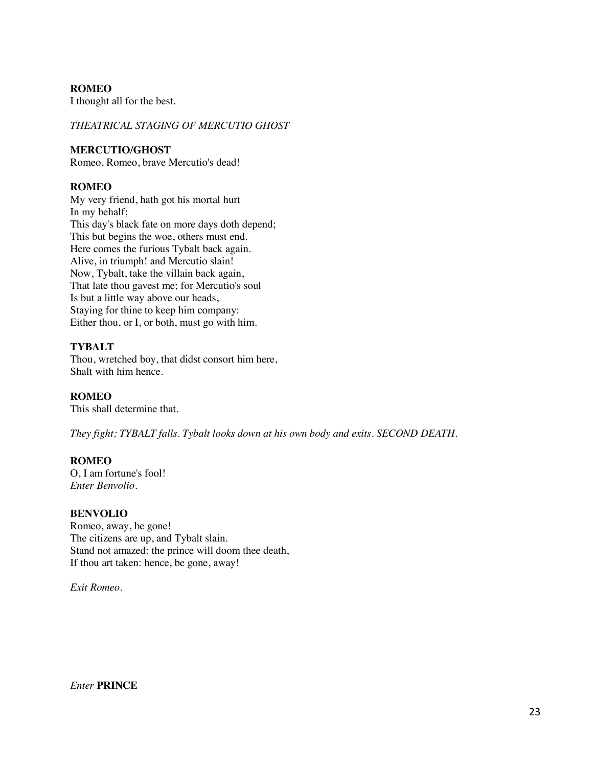## **ROMEO**

I thought all for the best.

## *THEATRICAL STAGING OF MERCUTIO GHOST*

#### **MERCUTIO/GHOST**

Romeo, Romeo, brave Mercutio's dead!

## **ROMEO**

My very friend, hath got his mortal hurt In my behalf; This day's black fate on more days doth depend; This but begins the woe, others must end. Here comes the furious Tybalt back again. Alive, in triumph! and Mercutio slain! Now, Tybalt, take the villain back again, That late thou gavest me; for Mercutio's soul Is but a little way above our heads, Staying for thine to keep him company: Either thou, or I, or both, must go with him.

## **TYBALT**

Thou, wretched boy, that didst consort him here, Shalt with him hence.

## **ROMEO**

This shall determine that.

*They fight; TYBALT falls. Tybalt looks down at his own body and exits. SECOND DEATH.* 

## **ROMEO**

O, I am fortune's fool! *Enter Benvolio.*

## **BENVOLIO**

Romeo, away, be gone! The citizens are up, and Tybalt slain. Stand not amazed: the prince will doom thee death, If thou art taken: hence, be gone, away!

*Exit Romeo.*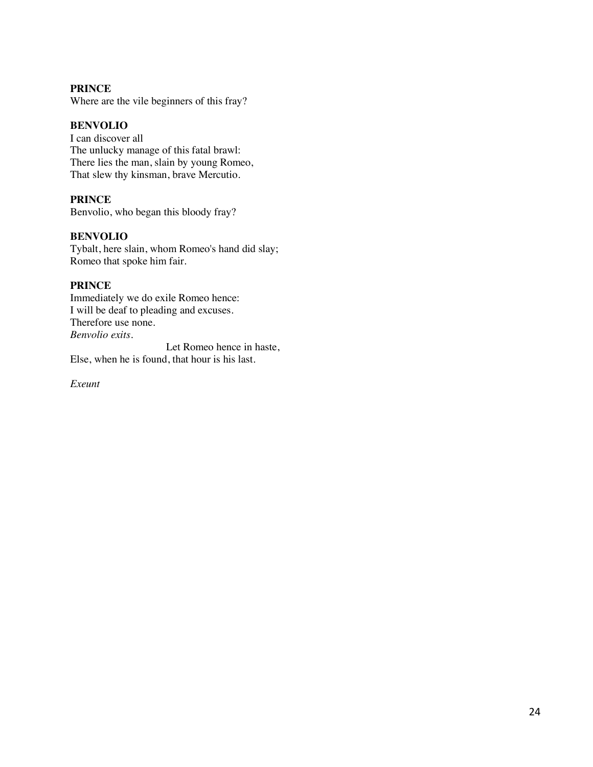## **PRINCE**

Where are the vile beginners of this fray?

## **BENVOLIO**

I can discover all The unlucky manage of this fatal brawl: There lies the man, slain by young Romeo, That slew thy kinsman, brave Mercutio.

## **PRINCE**

Benvolio, who began this bloody fray?

## **BENVOLIO**

Tybalt, here slain, whom Romeo's hand did slay; Romeo that spoke him fair.

## **PRINCE**

Immediately we do exile Romeo hence: I will be deaf to pleading and excuses. Therefore use none. *Benvolio exits.* 

 Let Romeo hence in haste, Else, when he is found, that hour is his last.

*Exeunt*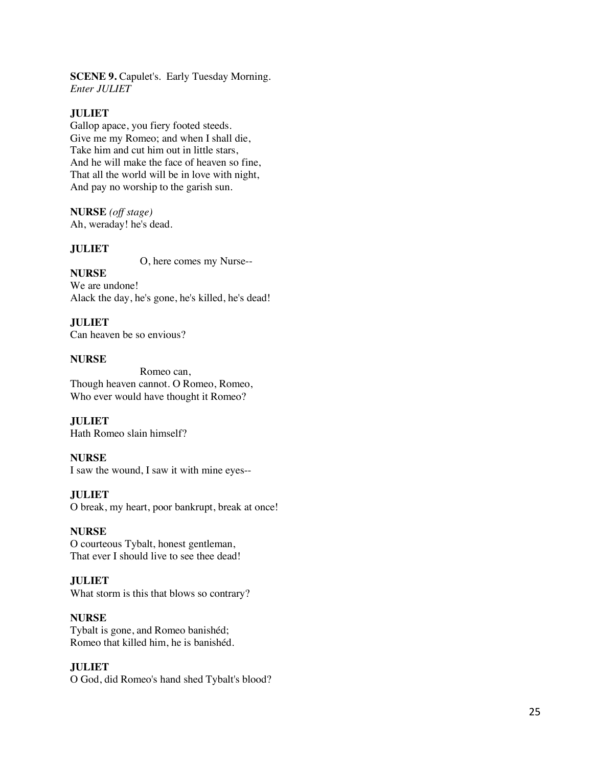**SCENE 9.** Capulet's. Early Tuesday Morning. *Enter JULIET* 

## **JULIET**

Gallop apace, you fiery footed steeds. Give me my Romeo; and when I shall die, Take him and cut him out in little stars, And he will make the face of heaven so fine, That all the world will be in love with night, And pay no worship to the garish sun .

**NURSE** *(off stage)* Ah, weraday! he's dead.

#### **JULIET**

O, here comes my Nurse--

**NURSE** We are undone! Alack the day, he's gone, he's killed, he's dead!

**JULIET** Can heaven be so envious?

#### **NURSE**

 Romeo can, Though heaven cannot. O Romeo, Romeo, Who ever would have thought it Romeo?

**JULIET** Hath Romeo slain himself?

#### **NURSE**

I saw the wound, I saw it with mine eyes--

## **JULIET**

O break, my heart, poor bankrupt, break at once!

#### **NURSE**

O courteous Tybalt, honest gentleman, That ever I should live to see thee dead!

## **JULIET**

What storm is this that blows so contrary ?

#### **NURSE**

Tybalt is gone, and Romeo banishéd; Romeo that killed him, he is banishéd.

#### **JULIET**

O God, did Romeo's hand shed Tybalt's blood?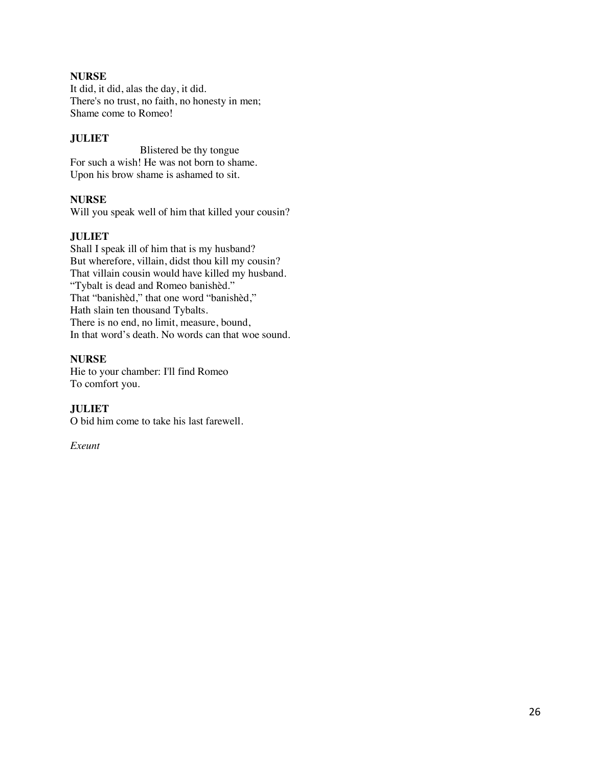## **NURSE**

It did, it did, alas the day, it did. There's no trust, no faith, no honesty in men; Shame come to Romeo!

## **JULIET**

 Blistered be thy tongue For such a wish! He was not born to shame. Upon his brow shame is ashamed to sit.

## **NURSE**

Will you speak well of him that killed your cousin?

## **JULIET**

Shall I speak ill of him that is my husband? But wherefore, villain, didst thou kill my cousin? That villain cousin would have killed my husband. "Tybalt is dead and Romeo banishèd." That "banishèd," that one word "banishèd," Hath slain ten thousand Tybalts. There is no end, no limit, measure, bound, In that word's death. No words can that woe sound.

## **NURSE**

Hie to your chamber: I'll find Romeo To comfort you.

## **JULIET**

O bid him come to take his last farewell.

*Exeunt*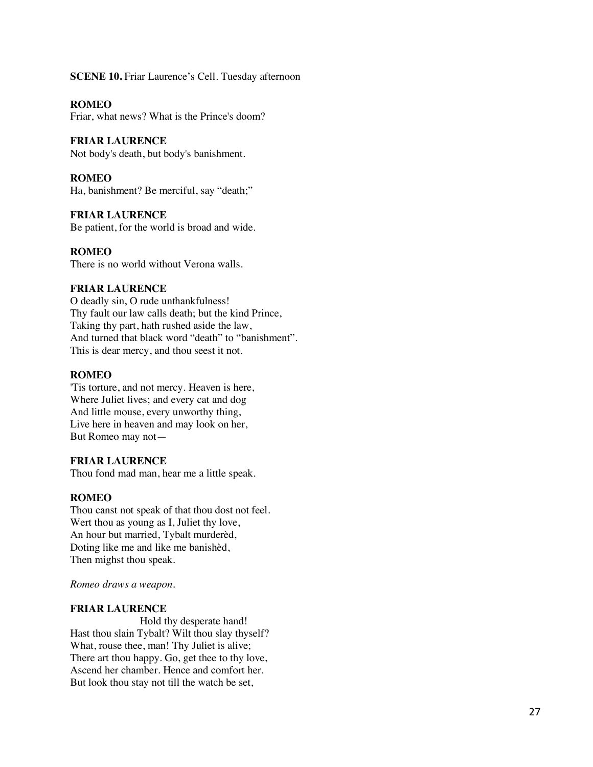#### **SCENE 10.** Friar Laurence's Cell. Tuesday afternoon

**ROMEO**

Friar, what news? What is the Prince's doom?

#### **FRIAR LAURENCE**

Not body's death, but body's banishment.

#### **ROMEO**

Ha, banishment? Be merciful, say "death;"

#### **FRIAR LAURENCE**

Be patient, for the world is broad and wide.

#### **ROMEO**

There is no world without Verona walls.

#### **FRIAR LAURENCE**

O deadly sin, O rude unthankfulness! Thy fault our law calls death; but the kind Prince, Taking thy part, hath rushed aside the law, And turned that black word "death" to "banishment". This is dear mercy, and thou seest it not.

## **ROMEO**

'Tis torture, and not mercy. Heaven is here, Where Juliet lives; and every cat and dog And little mouse, every unworthy thing, Live here in heaven and may look on her, But Romeo may not —

#### **FRIAR LAURENCE**

Thou fond mad man, hear me a little speak.

#### **ROMEO**

Thou canst not speak of that thou dost not feel. Wert thou as young as I, Juliet thy love, An hour but married, Tybalt murderèd, Doting like me and like me banishèd, Then mighst thou speak.

#### *Romeo draws a weapon.*

#### **FRIAR LAURENCE**

 Hold thy desperate hand! Hast thou slain Tybalt? Wilt thou slay thyself? What, rouse thee, man! Thy Juliet is alive; There art thou happy. Go, get thee to thy love, Ascend her chamber. Hence and comfort her. But look thou stay not till the watch be set,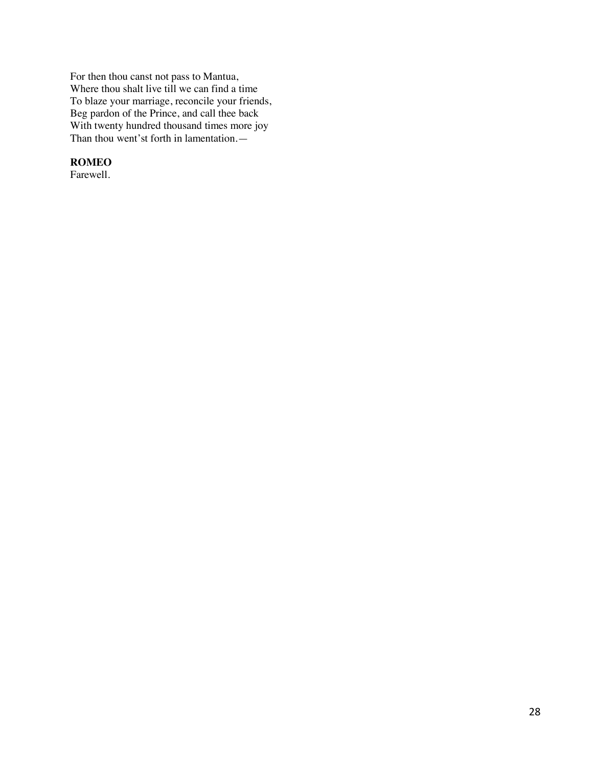For then thou canst not pass to Mantua, Where thou shalt live till we can find a time To blaze your marriage, reconcile your friends, Beg pardon of the Prince, and call thee back With twenty hundred thousand times more joy Than thou went'st forth in lamentation.—

## **ROMEO**

Farewell.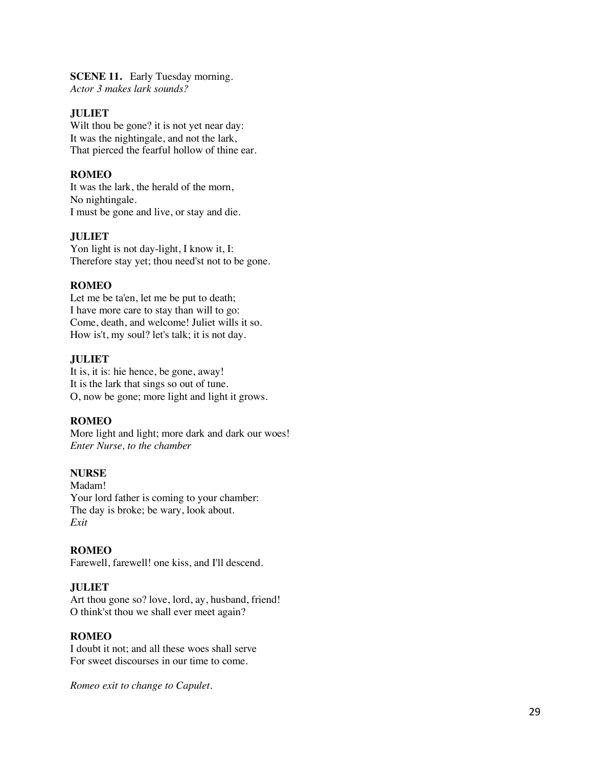#### **SCENE 11.** Early Tuesday morning. *Actor 3 makes lark sounds?*

## **JULIET**

Wilt thou be gone? it is not yet near day: It was the nightingale, and not the lark, That pierced the fearful hollow of thine ear.

## **ROMEO**

It was the lark, the herald of the morn, No nightingale. I must be gone and live, or stay and die.

## **JULIET**

Yon light is not day -light, I know it, I: Therefore stay yet; thou need'st not to be gone.

#### **ROMEO**

Let me be ta'en, let me be put to death; I have more care to stay than will to go: Come, death, and welcome! Juliet wills it so. How is't, my soul? let's talk; it is not day.

#### **JULIET**

It is, it is: hie hence, be gone, away! It is the lark that sings so out of tune. O, now be gone; more light and light it grows.

#### **ROMEO**

More light and light; more dark and dark our woes! *Enter Nurse, to the chamber*

#### **NURSE**

Madam! Your lord father is coming to your chamber: The day is broke; be wary, look about. *Exit*

#### **ROMEO**

Farewell, farewell! one kiss, and I'll descend.

## **JULIET**

Art thou gone so? love, lord, ay, husband, friend! O think'st thou we shall ever meet again?

#### **ROMEO**

I doubt it not; and all these woes shall serve For sweet discourses in our time to come.

*Romeo exit to change to Capulet.*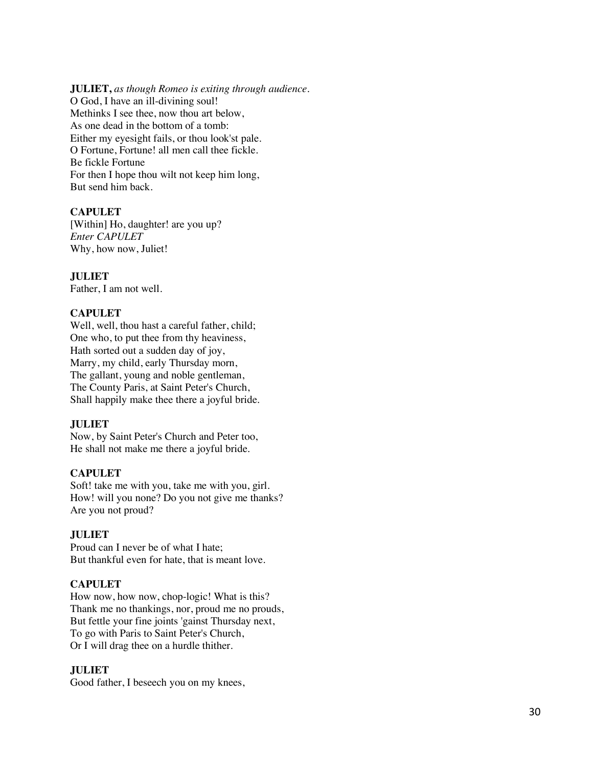#### **JULIET,** *as though Romeo is exiting through audience.*

O God, I have an ill -divining soul! Methinks I see thee, now thou art below, As one dead in the bottom of a tomb: Either my eyesight fails, or thou look'st pale. O Fortune, Fortune! all men call thee fickle. Be fickle Fortune For then I hope thou wilt not keep him long, But send him back.

## **CAPULET**

[Within] Ho, daughter! are you up? *Enter CAPULET* Why, how now, Juliet!

## **JULIET**

Father, I am not well.

#### **CAPULET**

Well, well, thou hast a careful father, child; One who, to put thee from thy heaviness, Hath sorted out a sudden day of joy, Marry, my child, early Thursday morn, The gallant, young and noble gentleman, The County Paris, at Saint Peter's Church, Shall happily make thee there a joyful bride.

#### **JULIET**

Now, by Saint Peter's Church and Peter too, He shall not make me there a joyful bride.

#### **CAPULET**

Soft! take me with you, take me with you, girl. How! will you none? Do you not give me thanks? Are you not proud?

#### **JULIET**

Proud can I never be of what I hate; But thankful even for hate, that is meant love.

## **CAPULET**

How now, how now, chop -logic! What is this? Thank me no thankings, nor, proud me no prouds, But fettle your fine joints 'gainst Thursday next, To go with Paris to Saint Peter's Church, Or I will drag thee on a hurdle thither.

#### **JULIET**

Good father, I beseech you on my knees,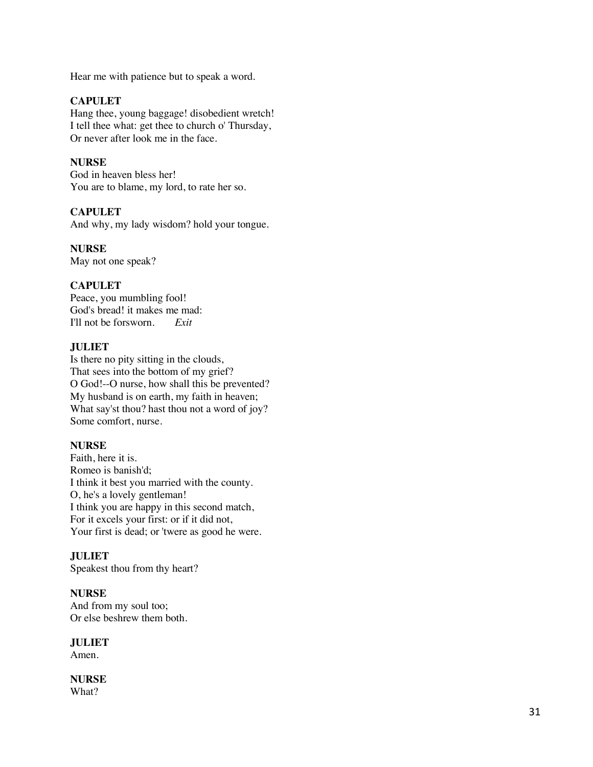Hear me with patience but to speak a word.

## **CAPULET**

Hang thee, young baggage! disobedient wretch! I tell thee what: get thee to church o' Thursday, Or never after look me in the face.

## **NURSE**

God in heaven bless her! You are to blame, my lord, to rate her so.

## **CAPULET**

And why, my lady wisdom? hold your tongue.

## **NURSE**

May not one speak?

## **CAPULET**

Peace, you mumbling fool! God's bread! it makes me mad: I'll not be forsworn. *Exit*

## **JULIET**

Is there no pity sitting in the clouds, That sees into the bottom of my grief? O God!--O nurse, how shall this be prevented? My husband is on earth, my faith in heaven; What say'st thou? hast thou not a word of joy? Some comfort, nurse.

## **NURSE**

Faith, here it is. Romeo is banish'd; I think it best you married with the county. O, he's a lovely gentleman! I think you are happy in this second match, For it excels your first: or if it did not, Your first is dead; or 'twere as good he were.

## **JULIET**

Speakest thou from thy heart?

## **NURSE**

And from my soul too; Or else beshrew them both.

## **JULIET**

Amen.

# **NURSE**

What?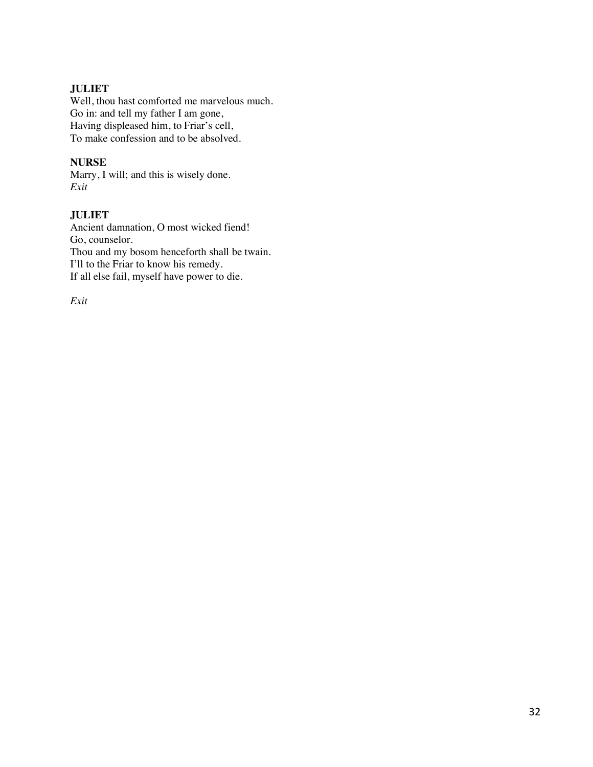## **JULIET**

Well, thou hast comforted me marvelous much. Go in: and tell my father I am gone, Having displeased him, to Friar's cell, To make confession and to be absolved.

## **NURSE**

Marry, I will; and this is wisely done. *Exit*

## **JULIET**

Ancient damnation, O most wicked fiend! Go, counselor. Thou and my bosom henceforth shall be twain. I'll to the Friar to know his remedy. If all else fail, myself have power to die.

*Exit*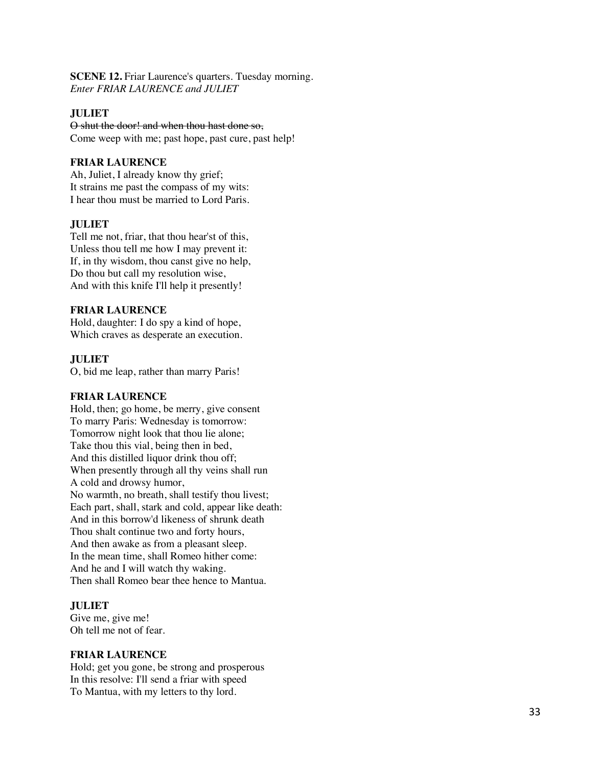**SCENE 12.** Friar Laurence's quarters. Tuesday morning. *Enter FRIAR LAURENCE and JULIET*

## **JULIET**

O shut the door! and when thou hast done so, Come weep with me; past hope, past cure, past help!

## **FRIAR LAURENCE**

Ah, Juliet, I already know thy grief; It strains me past the compass of my wits: I hear thou must be married to Lord Paris.

## **JULIET**

Tell me not, friar, that thou hear'st of this, Unless thou tell me how I may prevent it: If, in thy wisdom, thou canst give no help, Do thou but call my resolution wise, And with this knife I'll help it presently!

## **FRIAR LAURENCE**

Hold, daughter: I do spy a kind of hope, Which craves as desperate an execution.

## **JULIET**

O, bid me leap, rather than marry Paris!

## **FRIAR LAURENCE**

Hold, then; go home, be merry, give consent To marry Paris: Wednesday is tomorrow: Tomorrow night look that thou lie alone; Take thou this vial, being then in bed, And this distilled liquor drink thou off; When presently through all thy veins shall run A cold and drowsy humor, No warmth, no breath, shall testify thou livest; Each part, shall, stark and cold, appear like death: And in this borrow'd likeness of shrunk death Thou shalt continue two and forty hours, And then awake as from a pleasant sleep. In the mean time, shall Romeo hither come: And he and I will watch thy waking. Then shall Romeo bear thee hence to Mantua.

## **JULIET**

Give me, give me! Oh tell me not of fear.

## **FRIAR LAURENCE**

Hold; get you gone, be strong and prosperous In this resolve: I'll send a friar with speed To Mantua, with my letters to thy lord.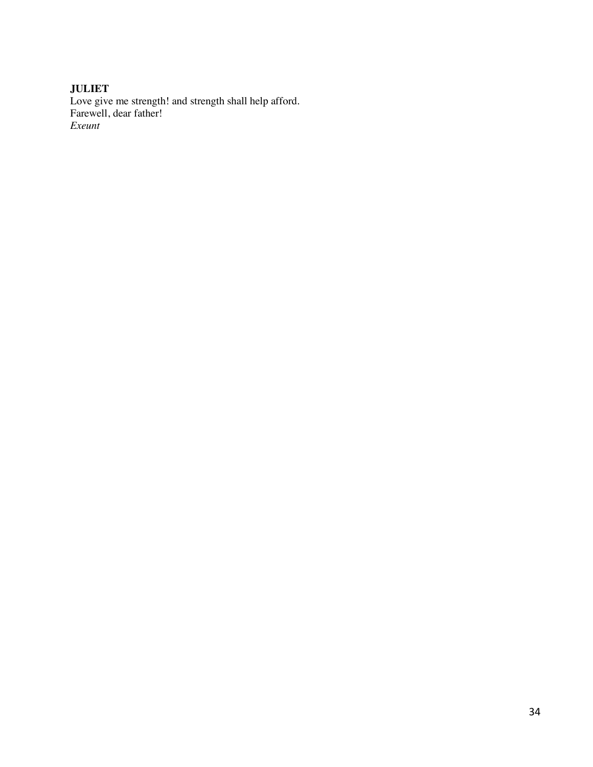## **JULIET** Love give me strength! and strength shall help afford. Farewell, dear father! *Exeunt*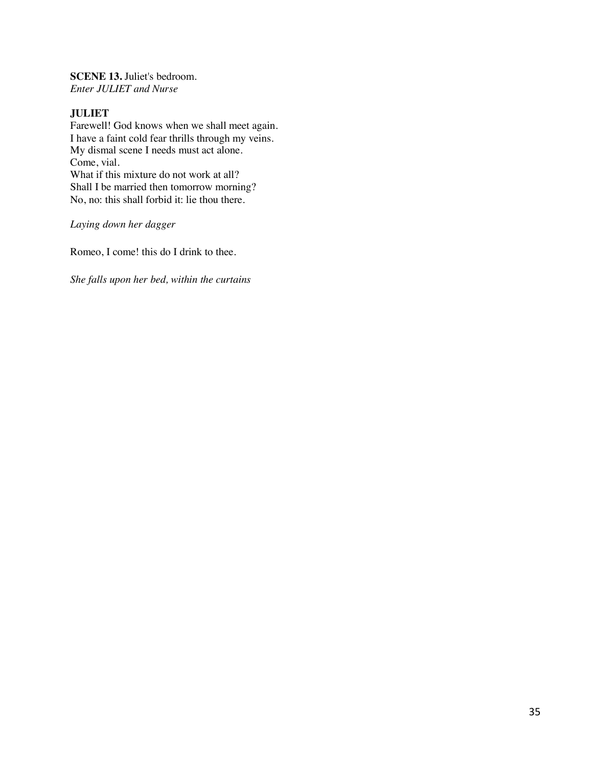**SCENE 13.** Juliet's bedroom. *Enter JULIET and Nurse*

## **JULIET**

Farewell! God knows when we shall meet again. I have a faint cold fear thrills through my veins. My dismal scene I needs must act alone. Come, vial. What if this mixture do not work at all? Shall I be married then tomorrow morning? No, no: this shall forbid it: lie thou there.

*Laying down her dagger*

Romeo, I come! this do I drink to thee.

*She falls upon her bed, within the curtains*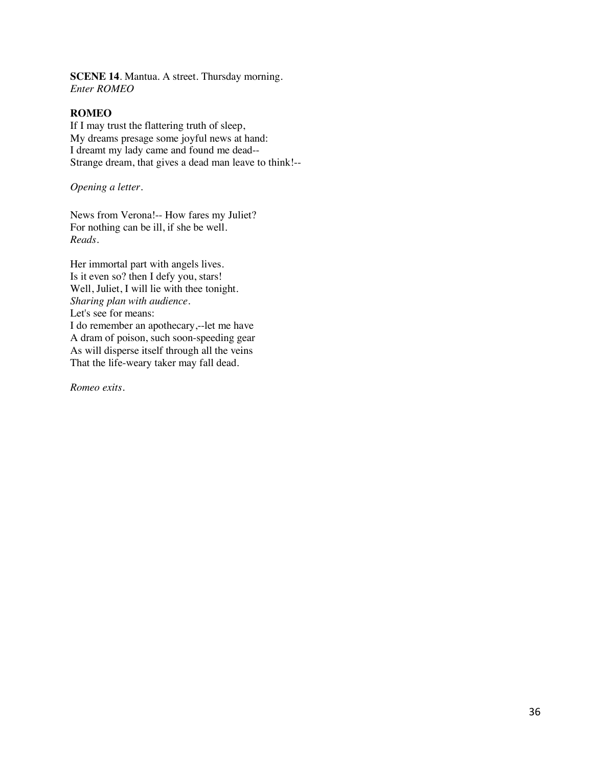**SCENE 14**. Mantua. A street. Thursday morning. *Enter ROMEO*

#### **ROMEO**

If I may trust the flattering truth of sleep, My dreams presage some joyful news at hand: I dreamt my lady came and found me dead-- Strange dream, that gives a dead man leave to think!--

*Opening a letter.*

News from Verona!-- How fares my Juliet? For nothing can be ill, if she be well. *Reads.*

Her immortal part with angels lives. Is it even so? then I defy you, stars! Well, Juliet, I will lie with thee tonight. *Sharing plan with audience.*  Let's see for means: I do remember an apothecary,--let me have A dram of poison, such soon-speeding gear As will disperse itself through all the veins That the life-weary taker may fall dead.

*Romeo exits.*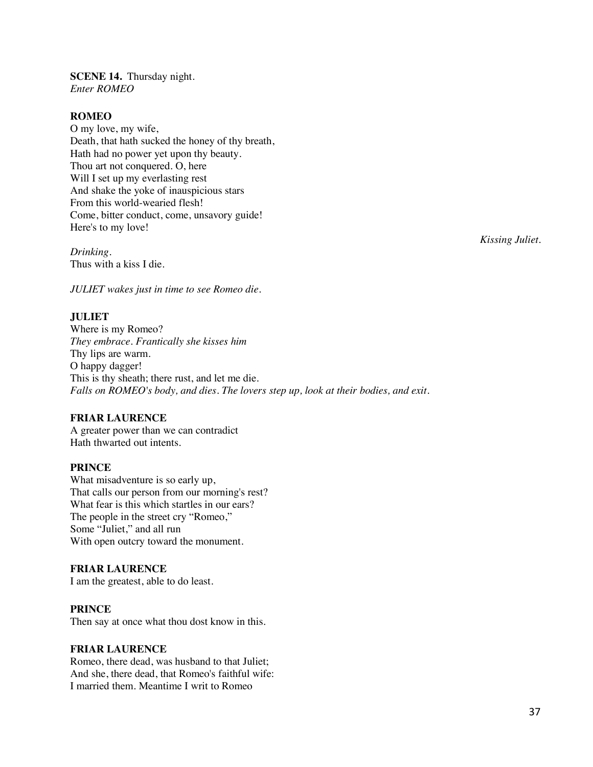**SCENE 14.** Thursday night. *Enter ROMEO*

#### **ROMEO**

O my love, my wife, Death, that hath sucked the honey of thy breath, Hath had no power yet upon thy beauty. Thou art not conquered. O, here Will I set up my everlasting rest And shake the yoke of inauspicious stars From this world-wearied flesh! Come, bitter conduct, come, unsavory guide! Here's to my love!

*Drinking.* Thus with a kiss I die.

*JULIET wakes just in time to see Romeo die.* 

## **JULIET**

Where is my Romeo? *They embrace. Frantically she kisses him* Thy lips are warm. O happy dagger! This is thy sheath; there rust, and let me die. *Falls on ROMEO's body, and dies. The lovers step up, look at their bodies, and exit.* 

#### **FRIAR LAURENCE**

A greater power than we can contradict Hath thwarted out intents.

#### **PRINCE**

What misadventure is so early up, That calls our person from our morning's rest? What fear is this which startles in our ears? The people in the street cry "Romeo," Some "Juliet," and all run With open outcry toward the monument.

#### **FRIAR LAURENCE**

I am the greatest, able to do least.

#### **PRINCE**

Then say at once what thou dost know in this.

#### **FRIAR LAURENCE**

Romeo, there dead, was husband to that Juliet; And she, there dead, that Romeo's faithful wife: I married them. Meantime I writ to Romeo

*Kissing Juliet.*